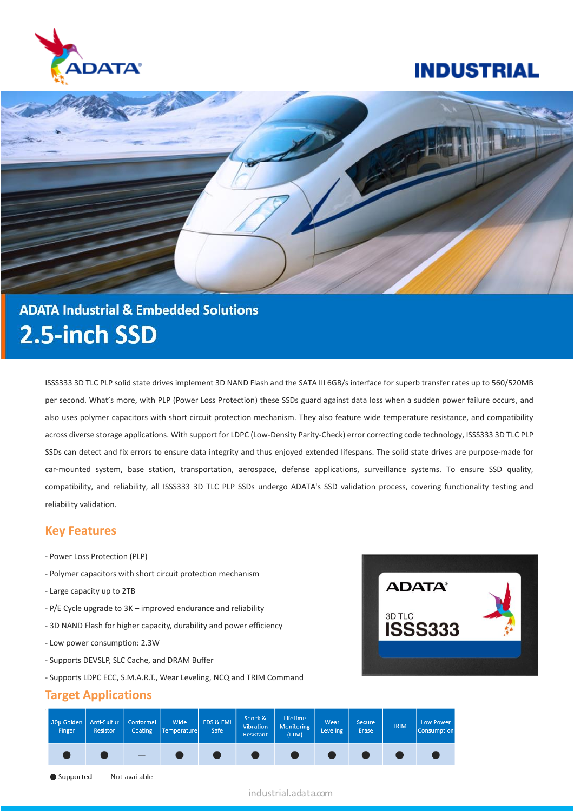





# **ADATA Industrial & Embedded Solutions** 2.5-inch SSD

ISSS333 3D TLC PLP solid state drives implement 3D NAND Flash and the SATA III 6GB/s interface for superb transfer rates up to 560/520MB per second. What's more, with PLP (Power Loss Protection) these SSDs guard against data loss when a sudden power failure occurs, and also uses polymer capacitors with short circuit protection mechanism. They also feature wide temperature resistance, and compatibility across diverse storage applications. With support for LDPC (Low-Density Parity-Check) error correcting code technology, ISSS333 3D TLC PLP SSDs can detect and fix errors to ensure data integrity and thus enjoyed extended lifespans. The solid state drives are purpose-made for car-mounted system, base station, transportation, aerospace, defense applications, surveillance systems. To ensure SSD quality, compatibility, and reliability, all ISSS333 3D TLC PLP SSDs undergo ADATA's SSD validation process, covering functionality testing and reliability validation.

### **Key Features**

- Power Loss Protection (PLP)
- Polymer capacitors with short circuit protection mechanism
- Large capacity up to 2TB
- P/E Cycle upgrade to 3K improved endurance and reliability
- 3D NAND Flash for higher capacity, durability and power efficiency
- Low power consumption: 2.3W
- Supports DEVSLP, SLC Cache, and DRAM Buffer
- Supports LDPC ECC, S.M.A.R.T., Wear Leveling, NCQ and TRIM Command

## **Target Applications**





industrial.adata.com